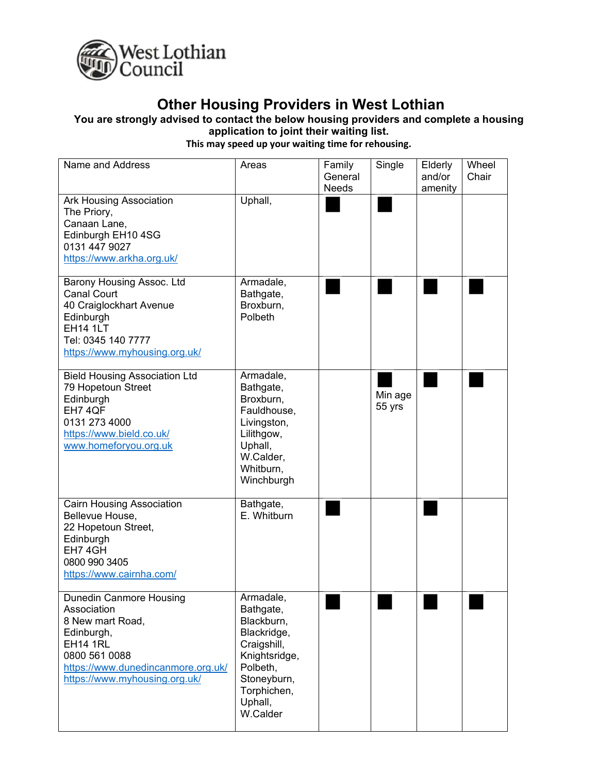

## **Other Housing Providers in West Lothian**

## **You are strongly advised to contact the below housing providers and complete a housing application to joint their waiting list.**

**This may speed up your waiting time for rehousing.** 

| Name and Address                                                                                                                                                                           | Areas                                                                                                                                                | Family<br>General<br><b>Needs</b> | Single            | Elderly<br>and/or<br>amenity | Wheel<br>Chair |
|--------------------------------------------------------------------------------------------------------------------------------------------------------------------------------------------|------------------------------------------------------------------------------------------------------------------------------------------------------|-----------------------------------|-------------------|------------------------------|----------------|
| <b>Ark Housing Association</b><br>The Priory,<br>Canaan Lane,<br>Edinburgh EH10 4SG<br>0131 447 9027<br>https://www.arkha.org.uk/                                                          | Uphall,                                                                                                                                              |                                   |                   |                              |                |
| Barony Housing Assoc. Ltd<br><b>Canal Court</b><br>40 Craiglockhart Avenue<br>Edinburgh<br><b>EH14 1LT</b><br>Tel: 0345 140 7777<br>https://www.myhousing.org.uk/                          | Armadale,<br>Bathgate,<br>Broxburn,<br>Polbeth                                                                                                       |                                   |                   |                              |                |
| <b>Bield Housing Association Ltd</b><br>79 Hopetoun Street<br>Edinburgh<br>EH7 4QF<br>0131 273 4000<br>https://www.bield.co.uk/<br>www.homeforyou.org.uk                                   | Armadale,<br>Bathgate,<br>Broxburn,<br>Fauldhouse,<br>Livingston,<br>Lilithgow,<br>Uphall,<br>W.Calder,<br>Whitburn,<br>Winchburgh                   |                                   | Min age<br>55 yrs |                              |                |
| <b>Cairn Housing Association</b><br>Bellevue House,<br>22 Hopetoun Street,<br>Edinburgh<br>EH7 4GH<br>0800 990 3405<br>https://www.cairnha.com/                                            | Bathgate,<br>E. Whitburn                                                                                                                             |                                   |                   |                              |                |
| <b>Dunedin Canmore Housing</b><br>Association<br>8 New mart Road,<br>Edinburgh,<br><b>EH14 1RL</b><br>0800 561 0088<br>https://www.dunedincanmore.org.uk/<br>https://www.myhousing.org.uk/ | Armadale,<br>Bathgate,<br>Blackburn,<br>Blackridge,<br>Craigshill,<br>Knightsridge,<br>Polbeth,<br>Stoneyburn,<br>Torphichen,<br>Uphall,<br>W.Calder |                                   |                   |                              |                |